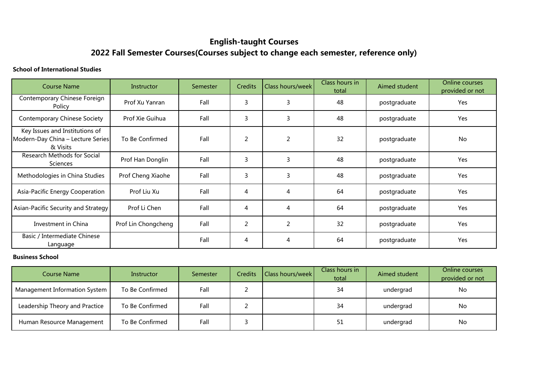## **English-taught Courses**

# **2022 Fall Semester Courses(Courses subject to change each semester, reference only)**

#### **School of International Studies**

| Course Name                                                                     | Instructor          | Semester | <b>Credits</b> | Class hours/week | Class hours in<br>total | Aimed student | Online courses<br>provided or not |
|---------------------------------------------------------------------------------|---------------------|----------|----------------|------------------|-------------------------|---------------|-----------------------------------|
| Contemporary Chinese Foreign<br>Policy                                          | Prof Xu Yanran      | Fall     | 3              | 3                | 48                      | postgraduate  | Yes                               |
| <b>Contemporary Chinese Society</b>                                             | Prof Xie Guihua     | Fall     | 3              | 3                | 48                      | postgraduate  | Yes                               |
| Key Issues and Institutions of<br>Modern-Day China - Lecture Series<br>& Visits | To Be Confirmed     | Fall     | $\overline{2}$ | $\overline{2}$   | 32                      | postgraduate  | No                                |
| Research Methods for Social<br>Sciences                                         | Prof Han Donglin    | Fall     | 3              | 3                | 48                      | postgraduate  | Yes                               |
| Methodologies in China Studies                                                  | Prof Cheng Xiaohe   | Fall     | 3              | 3                | 48                      | postgraduate  | Yes                               |
| Asia-Pacific Energy Cooperation                                                 | Prof Liu Xu         | Fall     | 4              | 4                | 64                      | postgraduate  | Yes                               |
| Asian-Pacific Security and Strategy                                             | Prof Li Chen        | Fall     | 4              | 4                | 64                      | postgraduate  | Yes                               |
| Investment in China                                                             | Prof Lin Chongcheng | Fall     | $\overline{2}$ | $\overline{2}$   | 32                      | postgraduate  | Yes                               |
| Basic / Intermediate Chinese<br>Language                                        |                     | Fall     | 4              | 4                | 64                      | postgraduate  | Yes                               |

#### **Business School**

| <b>Course Name</b>             | Instructor      | Semester | <b>Credits</b> | <b>Class hours/week</b> | Class hours in<br>total | Aimed student | Online courses<br>provided or not |
|--------------------------------|-----------------|----------|----------------|-------------------------|-------------------------|---------------|-----------------------------------|
| Management Information System  | To Be Confirmed | Fall     |                |                         | 34                      | undergrad     | <b>No</b>                         |
| Leadership Theory and Practice | To Be Confirmed | Fall     |                |                         | 34                      | undergrad     | <b>No</b>                         |
| Human Resource Management      | To Be Confirmed | Fall     |                |                         | 51                      | undergrad     | No.                               |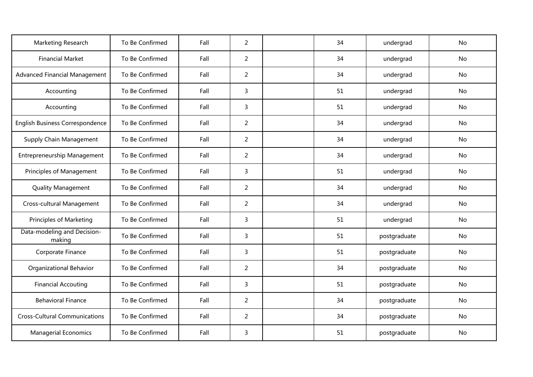| Marketing Research                    | To Be Confirmed | Fall | $\overline{2}$ | 34 | undergrad    | No        |
|---------------------------------------|-----------------|------|----------------|----|--------------|-----------|
| <b>Financial Market</b>               | To Be Confirmed | Fall | $\overline{2}$ | 34 | undergrad    | No        |
| <b>Advanced Financial Management</b>  | To Be Confirmed | Fall | $\overline{2}$ | 34 | undergrad    | No        |
| Accounting                            | To Be Confirmed | Fall | 3              | 51 | undergrad    | No        |
| Accounting                            | To Be Confirmed | Fall | 3              | 51 | undergrad    | No        |
| English Business Correspondence       | To Be Confirmed | Fall | $\overline{2}$ | 34 | undergrad    | <b>No</b> |
| <b>Supply Chain Management</b>        | To Be Confirmed | Fall | $\overline{2}$ | 34 | undergrad    | No        |
| Entrepreneurship Management           | To Be Confirmed | Fall | $\overline{2}$ | 34 | undergrad    | No        |
| Principles of Management              | To Be Confirmed | Fall | 3              | 51 | undergrad    | No        |
| <b>Quality Management</b>             | To Be Confirmed | Fall | $\overline{2}$ | 34 | undergrad    | No        |
| Cross-cultural Management             | To Be Confirmed | Fall | $\overline{2}$ | 34 | undergrad    | No        |
| <b>Principles of Marketing</b>        | To Be Confirmed | Fall | $\overline{3}$ | 51 | undergrad    | No        |
| Data-modeling and Decision-<br>making | To Be Confirmed | Fall | $\overline{3}$ | 51 | postgraduate | No        |
| Corporate Finance                     | To Be Confirmed | Fall | 3              | 51 | postgraduate | No        |
| Organizational Behavior               | To Be Confirmed | Fall | $\overline{2}$ | 34 | postgraduate | No        |
| <b>Financial Accouting</b>            | To Be Confirmed | Fall | $\overline{3}$ | 51 | postgraduate | No        |
| <b>Behavioral Finance</b>             | To Be Confirmed | Fall | $\overline{2}$ | 34 | postgraduate | No        |
| <b>Cross-Cultural Communications</b>  | To Be Confirmed | Fall | $\overline{2}$ | 34 | postgraduate | No        |
| <b>Managerial Economics</b>           | To Be Confirmed | Fall | 3              | 51 | postgraduate | <b>No</b> |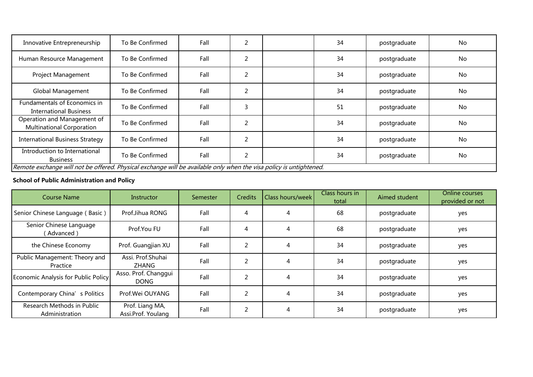| Innovative Entrepreneurship                                                                                        | To Be Confirmed | Fall | 2             | 34 | postgraduate | No |
|--------------------------------------------------------------------------------------------------------------------|-----------------|------|---------------|----|--------------|----|
| Human Resource Management                                                                                          | To Be Confirmed | Fall | 2             | 34 | postgraduate | No |
| <b>Project Management</b>                                                                                          | To Be Confirmed | Fall | 2             | 34 | postgraduate | No |
| Global Management                                                                                                  | To Be Confirmed | Fall | 2             | 34 | postgraduate | No |
| Fundamentals of Economics in<br><b>International Business</b>                                                      | To Be Confirmed | Fall | 3             | 51 | postgraduate | No |
| Operation and Management of<br><b>Multinational Corporation</b>                                                    | To Be Confirmed | Fall | $\mathcal{P}$ | 34 | postgraduate | No |
| <b>International Business Strategy</b>                                                                             | To Be Confirmed | Fall | 2             | 34 | postgraduate | No |
| Introduction to International<br><b>Business</b>                                                                   | To Be Confirmed | Fall | 2             | 34 | postgraduate | No |
| Remote exchange will not be offered. Physical exchange will be available only when the visa policy is untightened. |                 |      |               |    |              |    |

### **School of Public Administration and Policy**

| Course Name                                  | Instructor                            | Semester | Credits                  | Class hours/week | Class hours in<br>total | Aimed student | Online courses<br>provided or not |
|----------------------------------------------|---------------------------------------|----------|--------------------------|------------------|-------------------------|---------------|-----------------------------------|
| Senior Chinese Language (Basic)              | Prof.Jihua RONG                       | Fall     | 4                        | 4                | 68                      | postgraduate  | yes                               |
| Senior Chinese Language<br>Advanced)         | Prof.You FU                           | Fall     | 4                        | 4                | 68                      | postgraduate  | yes                               |
| the Chinese Economy                          | Prof. Guangjian XU                    | Fall     | $\overline{\phantom{0}}$ | $\overline{4}$   | 34                      | postgraduate  | yes                               |
| Public Management: Theory and<br>Practice    | Assi. Prof.Shuhai<br>ZHANG            | Fall     | ∍                        | 4                | 34                      | postgraduate  | yes                               |
| <b>Economic Analysis for Public Policy</b>   | Asso. Prof. Changgui<br><b>DONG</b>   | Fall     | $\overline{2}$           | 4                | 34                      | postgraduate  | yes                               |
| Contemporary China's Politics                | Prof. Wei OUYANG                      | Fall     | C                        | 4                | 34                      | postgraduate  | yes                               |
| Research Methods in Public<br>Administration | Prof. Liang MA,<br>Assi.Prof. Youlang | Fall     | $\overline{2}$           | 4                | 34                      | postgraduate  | yes                               |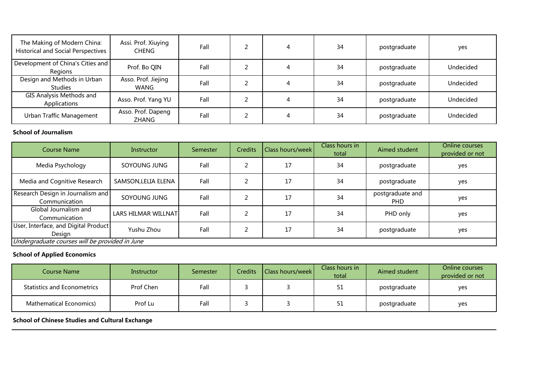| The Making of Modern China:<br><b>Historical and Social Perspectives</b> | Assi. Prof. Xiuying<br><b>CHENG</b> | Fall | 4 | 34 | postgraduate | yes       |
|--------------------------------------------------------------------------|-------------------------------------|------|---|----|--------------|-----------|
| Development of China's Cities and<br>Regions                             | Prof. Bo QIN                        | Fall | 4 | 34 | postgraduate | Undecided |
| Design and Methods in Urban<br>Studies                                   | Asso. Prof. Jiejing<br>WANG         | Fall | 4 | 34 | postgraduate | Undecided |
| <b>GIS Analysis Methods and</b><br>Applications                          | Asso. Prof. Yang YU                 | Fall | 4 | 34 | postgraduate | Undecided |
| Urban Traffic Management                                                 | Asso. Prof. Dapeng<br><b>ZHANG</b>  | Fall | 4 | 34 | postgraduate | Undecided |

### **School of Journalism**

| <b>Course Name</b>                                 | Instructor          | Semester | <b>Credits</b> | Class hours/week | Class hours in<br>total | Aimed student            | Online courses<br>provided or not |
|----------------------------------------------------|---------------------|----------|----------------|------------------|-------------------------|--------------------------|-----------------------------------|
| Media Psychology                                   | SOYOUNG JUNG        | Fall     |                | 17               | 34                      | postgraduate             | yes                               |
| Media and Cognitive Research                       | SAMSON, LELIA ELENA | Fall     |                | 17               | 34                      | postgraduate             | yes                               |
| Research Design in Journalism and<br>Communication | SOYOUNG JUNG        | Fall     |                | 17               | 34                      | postgraduate and<br>PHD. | yes                               |
| Global Journalism and<br>Communication             | LARS HILMAR WILLNAT | Fall     |                | 17               | 34                      | PHD only                 | yes                               |
| User, Interface, and Digital Product<br>Design     | Yushu Zhou          | Fall     |                | 17               | 34                      | postgraduate             | yes                               |
| Undergraduate courses will be provided in June     |                     |          |                |                  |                         |                          |                                   |

#### **School of Applied Economics**

| Course Name                        | Instructor | Semester | <b>Credits</b> | Class hours/week | Class hours in<br>total | Aimed student | Online courses<br>provided or not |
|------------------------------------|------------|----------|----------------|------------------|-------------------------|---------------|-----------------------------------|
| <b>Statistics and Econometrics</b> | Prof Chen  | Fall     |                |                  | 51                      | postgraduate  | yes                               |
| <b>Mathematical Economics)</b>     | Prof Lu    | Fall     |                |                  | 51                      | postgraduate  | yes                               |

**School of Chinese Studies and Cultural Exchange**